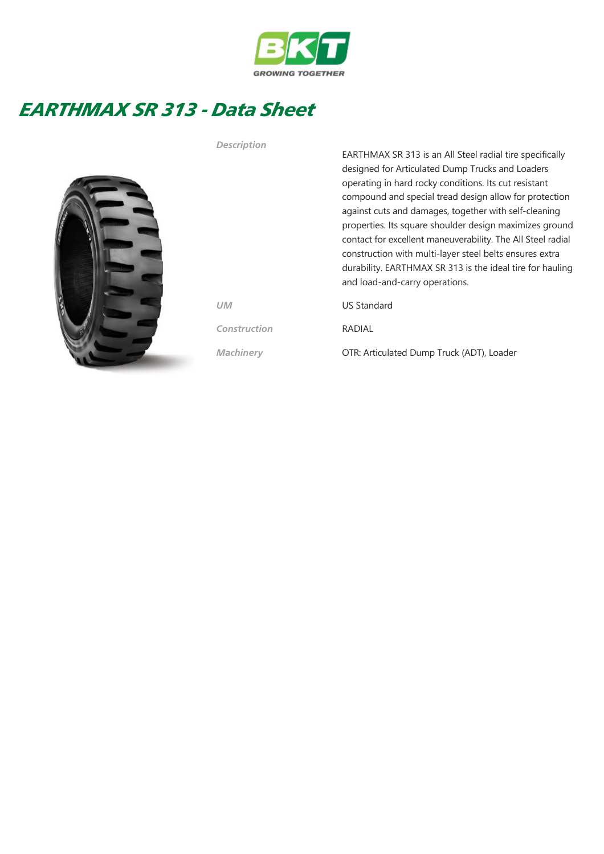

## EARTHMAX SR 313 - Data Sheet



EARTHMAX SR 313 is an All Steel radial tire specifically designed for Articulated Dump Trucks and Loaders operating in hard rocky conditions. Its cut resistant compound and special tread design allow for protection against cuts and damages, together with self‐cleaning properties. Its square shoulder design maximizes ground contact for excellent maneuverability. The All Steel radial construction with multi‐layer steel belts ensures extra durability. EARTHMAX SR 313 is the ideal tire for hauling and load‐and‐carry operations. UM US Standard Construction RADIAL

Machinery **OTR: Articulated Dump Truck (ADT), Loader** 

Description